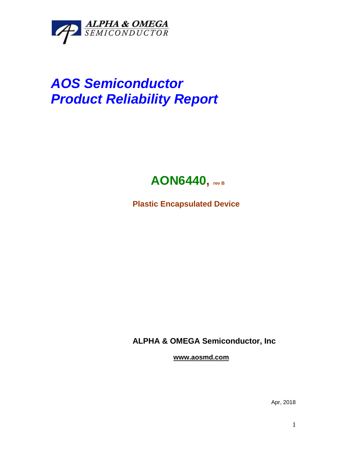

## *AOS Semiconductor Product Reliability Report*



**Plastic Encapsulated Device**

**ALPHA & OMEGA Semiconductor, Inc**

**www.aosmd.com**

Apr, 2018